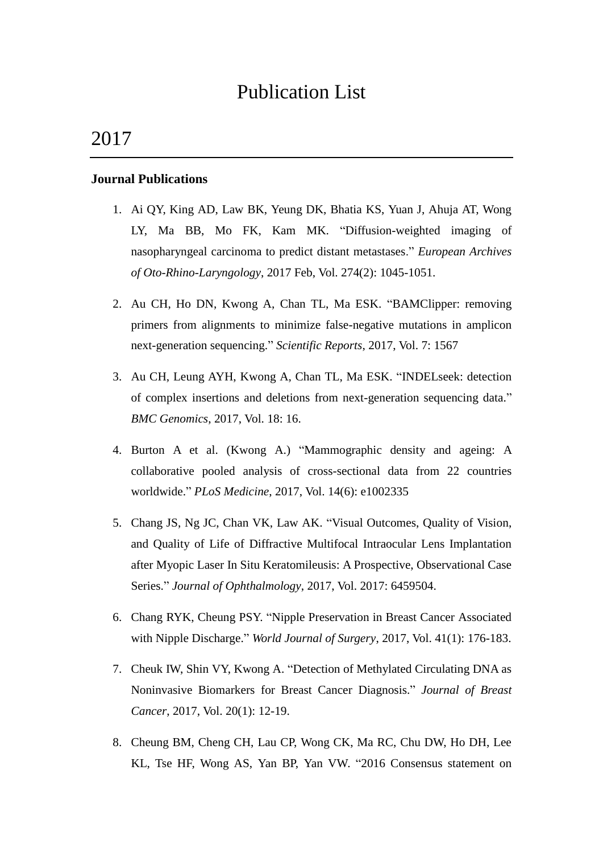# Publication List

# 2017

### **Journal Publications**

- 1. Ai QY, King AD, Law BK, Yeung DK, Bhatia KS, Yuan J, Ahuja AT, Wong LY, Ma BB, Mo FK, Kam MK. "Diffusion-weighted imaging of nasopharyngeal carcinoma to predict distant metastases." *European Archives of Oto-Rhino-Laryngology*, 2017 Feb, Vol. 274(2): 1045-1051.
- 2. Au CH, Ho DN, Kwong A, Chan TL, Ma ESK. "BAMClipper: removing primers from alignments to minimize false-negative mutations in amplicon next-generation sequencing." *Scientific Reports*, 2017, Vol. 7: 1567
- 3. Au CH, Leung AYH, Kwong A, Chan TL, Ma ESK. "INDELseek: detection of complex insertions and deletions from next-generation sequencing data." *BMC Genomics*, 2017, Vol. 18: 16.
- 4. Burton A et al. (Kwong A.) "Mammographic density and ageing: A collaborative pooled analysis of cross-sectional data from 22 countries worldwide." *PLoS Medicine*, 2017, Vol. 14(6): e1002335
- 5. Chang JS, Ng JC, Chan VK, Law AK. "Visual Outcomes, Quality of Vision, and Quality of Life of Diffractive Multifocal Intraocular Lens Implantation after Myopic Laser In Situ Keratomileusis: A Prospective, Observational Case Series." *Journal of Ophthalmology*, 2017, Vol. 2017: 6459504.
- 6. Chang RYK, Cheung PSY. "Nipple Preservation in Breast Cancer Associated with Nipple Discharge." *World Journal of Surgery*, 2017, Vol. 41(1): 176-183.
- 7. Cheuk IW, Shin VY, Kwong A. "Detection of Methylated Circulating DNA as Noninvasive Biomarkers for Breast Cancer Diagnosis." *Journal of Breast Cancer*, 2017, Vol. 20(1): 12-19.
- 8. Cheung BM, Cheng CH, Lau CP, Wong CK, Ma RC, Chu DW, Ho DH, Lee KL, Tse HF, Wong AS, Yan BP, Yan VW. "2016 Consensus statement on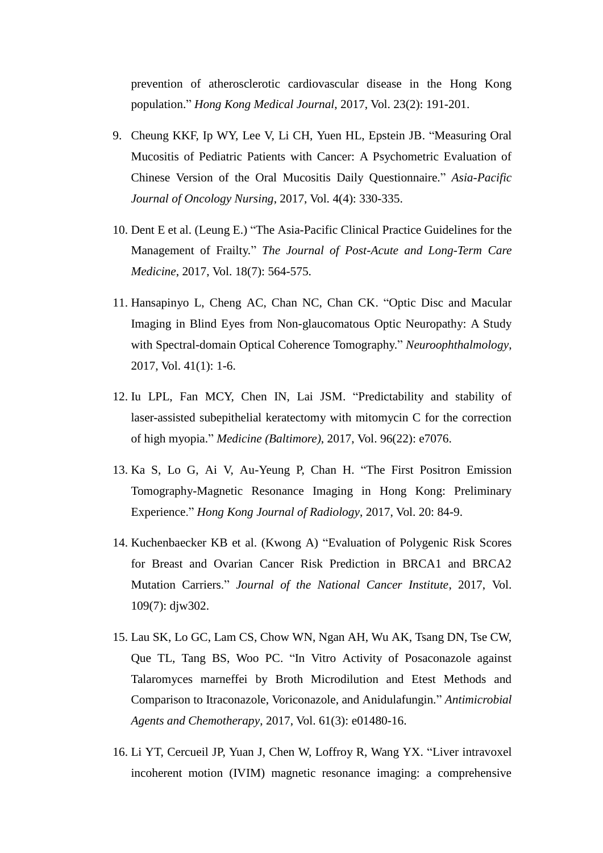prevention of atherosclerotic cardiovascular disease in the Hong Kong population." *Hong Kong Medical Journal*, 2017, Vol. 23(2): 191-201.

- 9. Cheung KKF, Ip WY, Lee V, Li CH, Yuen HL, Epstein JB. "Measuring Oral Mucositis of Pediatric Patients with Cancer: A Psychometric Evaluation of Chinese Version of the Oral Mucositis Daily Questionnaire." *Asia-Pacific Journal of Oncology Nursing*, 2017, Vol. 4(4): 330-335.
- 10. Dent E et al. (Leung E.) "The Asia-Pacific Clinical Practice Guidelines for the Management of Frailty." *The Journal of Post-Acute and Long-Term Care Medicine*, 2017, Vol. 18(7): 564-575.
- 11. Hansapinyo L, Cheng AC, Chan NC, Chan CK. "Optic Disc and Macular Imaging in Blind Eyes from Non-glaucomatous Optic Neuropathy: A Study with Spectral-domain Optical Coherence Tomography." *Neuroophthalmology*, 2017, Vol. 41(1): 1-6.
- 12. Iu LPL, Fan MCY, Chen IN, Lai JSM. "Predictability and stability of laser-assisted subepithelial keratectomy with mitomycin C for the correction of high myopia." *Medicine (Baltimore)*, 2017, Vol. 96(22): e7076.
- 13. Ka S, Lo G, Ai V, Au-Yeung P, Chan H. "The First Positron Emission Tomography-Magnetic Resonance Imaging in Hong Kong: Preliminary Experience." *Hong Kong Journal of Radiology*, 2017, Vol. 20: 84-9.
- 14. Kuchenbaecker KB et al. (Kwong A) "Evaluation of Polygenic Risk Scores for Breast and Ovarian Cancer Risk Prediction in BRCA1 and BRCA2 Mutation Carriers." *Journal of the National Cancer Institute*, 2017, Vol. 109(7): djw302.
- 15. Lau SK, Lo GC, Lam CS, Chow WN, Ngan AH, Wu AK, Tsang DN, Tse CW, Que TL, Tang BS, Woo PC. "In Vitro Activity of Posaconazole against Talaromyces marneffei by Broth Microdilution and Etest Methods and Comparison to Itraconazole, Voriconazole, and Anidulafungin." *Antimicrobial Agents and Chemotherapy*, 2017, Vol. 61(3): e01480-16.
- 16. Li YT, Cercueil JP, Yuan J, Chen W, Loffroy R, Wang YX. "Liver intravoxel incoherent motion (IVIM) magnetic resonance imaging: a comprehensive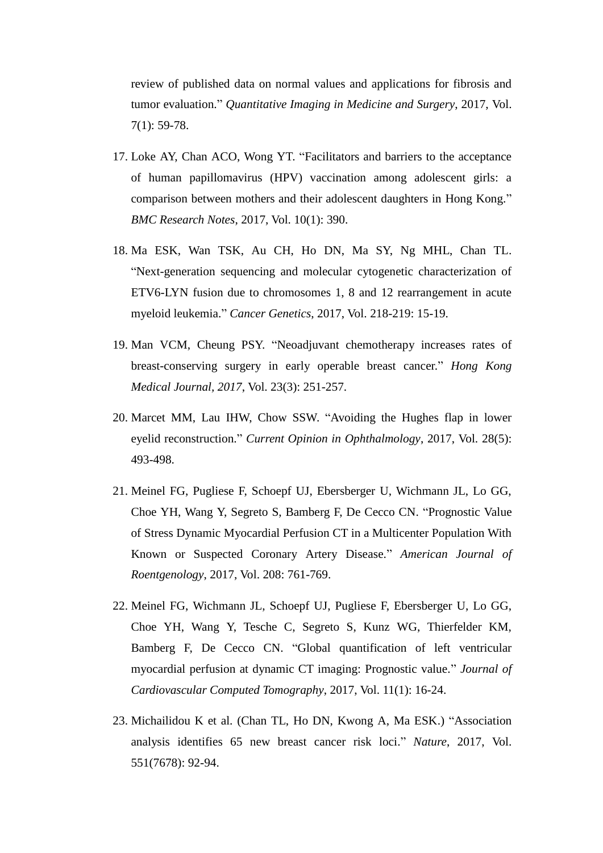review of published data on normal values and applications for fibrosis and tumor evaluation." *Quantitative Imaging in Medicine and Surgery*, 2017, Vol. 7(1): 59-78.

- 17. Loke AY, Chan ACO, Wong YT. "Facilitators and barriers to the acceptance of human papillomavirus (HPV) vaccination among adolescent girls: a comparison between mothers and their adolescent daughters in Hong Kong." *BMC Research Notes*, 2017, Vol. 10(1): 390.
- 18. Ma ESK, Wan TSK, Au CH, Ho DN, Ma SY, Ng MHL, Chan TL. "Next-generation sequencing and molecular cytogenetic characterization of ETV6-LYN fusion due to chromosomes 1, 8 and 12 rearrangement in acute myeloid leukemia." *Cancer Genetics*, 2017, Vol. 218-219: 15-19.
- 19. Man VCM, Cheung PSY. "Neoadjuvant chemotherapy increases rates of breast-conserving surgery in early operable breast cancer." *Hong Kong Medical Journal, 2017*, Vol. 23(3): 251-257.
- 20. Marcet MM, Lau IHW, Chow SSW. "Avoiding the Hughes flap in lower eyelid reconstruction." *Current Opinion in Ophthalmology*, 2017, Vol. 28(5): 493-498.
- 21. Meinel FG, Pugliese F, Schoepf UJ, Ebersberger U, Wichmann JL, Lo GG, Choe YH, Wang Y, Segreto S, Bamberg F, De Cecco CN. "Prognostic Value of Stress Dynamic Myocardial Perfusion CT in a Multicenter Population With Known or Suspected Coronary Artery Disease." *American Journal of Roentgenology*, 2017, Vol. 208: 761-769.
- 22. Meinel FG, Wichmann JL, Schoepf UJ, Pugliese F, Ebersberger U, Lo GG, Choe YH, Wang Y, Tesche C, Segreto S, Kunz WG, Thierfelder KM, Bamberg F, De Cecco CN. "Global quantification of left ventricular myocardial perfusion at dynamic CT imaging: Prognostic value." *Journal of Cardiovascular Computed Tomography*, 2017, Vol. 11(1): 16-24.
- 23. Michailidou K et al. (Chan TL, Ho DN, Kwong A, Ma ESK.) "Association analysis identifies 65 new breast cancer risk loci." *Nature*, 2017, Vol. 551(7678): 92-94.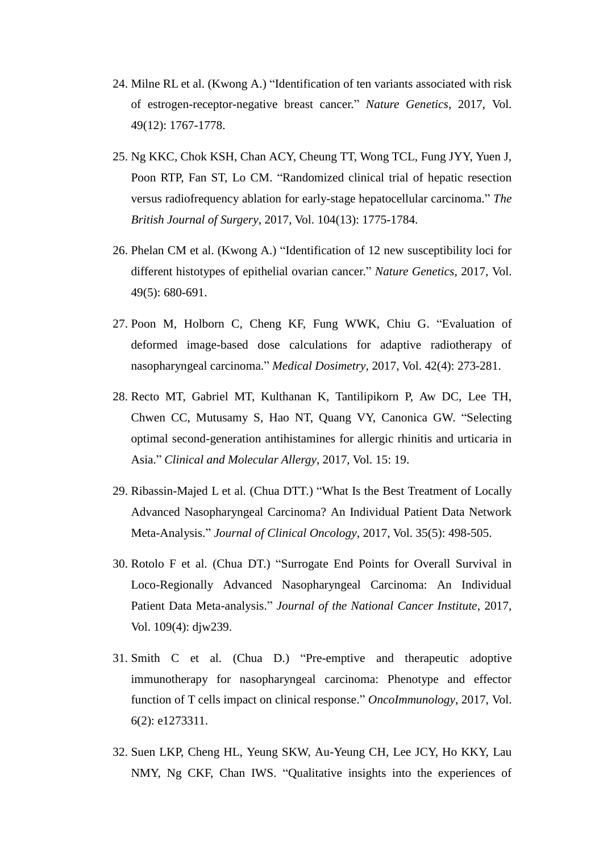- 24. Milne RL et al. (Kwong A.) "Identification of ten variants associated with risk of estrogen-receptor-negative breast cancer." *Nature Genetics*, 2017, Vol. 49(12): 1767-1778.
- 25. Ng KKC, Chok KSH, Chan ACY, Cheung TT, Wong TCL, Fung JYY, Yuen J, Poon RTP, Fan ST, Lo CM. "Randomized clinical trial of hepatic resection versus radiofrequency ablation for early-stage hepatocellular carcinoma." *The British Journal of Surgery*, 2017, Vol. 104(13): 1775-1784.
- 26. Phelan CM et al. (Kwong A.) "Identification of 12 new susceptibility loci for different histotypes of epithelial ovarian cancer." *Nature Genetics*, 2017, Vol. 49(5): 680-691.
- 27. Poon M, Holborn C, Cheng KF, Fung WWK, Chiu G. "Evaluation of deformed image-based dose calculations for adaptive radiotherapy of nasopharyngeal carcinoma." *Medical Dosimetry*, 2017, Vol. 42(4): 273-281.
- 28. Recto MT, Gabriel MT, Kulthanan K, Tantilipikorn P, Aw DC, Lee TH, Chwen CC, Mutusamy S, Hao NT, Quang VY, Canonica GW. "Selecting optimal second-generation antihistamines for allergic rhinitis and urticaria in Asia." *Clinical and Molecular Allergy*, 2017, Vol. 15: 19.
- 29. Ribassin-Majed L et al. (Chua DTT.) "What Is the Best Treatment of Locally Advanced Nasopharyngeal Carcinoma? An Individual Patient Data Network Meta-Analysis." *Journal of Clinical Oncology*, 2017, Vol. 35(5): 498-505.
- 30. Rotolo F et al. (Chua DT.) "Surrogate End Points for Overall Survival in Loco-Regionally Advanced Nasopharyngeal Carcinoma: An Individual Patient Data Meta-analysis." *Journal of the National Cancer Institute*, 2017, Vol. 109(4): djw239.
- 31. Smith C et al. (Chua D.) "Pre-emptive and therapeutic adoptive immunotherapy for nasopharyngeal carcinoma: Phenotype and effector function of T cells impact on clinical response." *OncoImmunology*, 2017, Vol. 6(2): e1273311.
- 32. Suen LKP, Cheng HL, Yeung SKW, Au-Yeung CH, Lee JCY, Ho KKY, Lau NMY, Ng CKF, Chan IWS. "Qualitative insights into the experiences of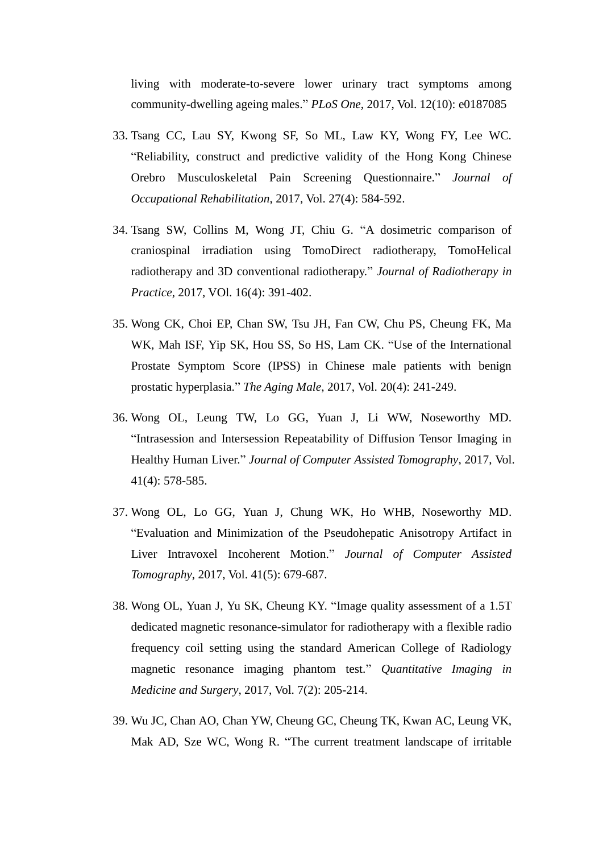living with moderate-to-severe lower urinary tract symptoms among community-dwelling ageing males." *PLoS One*, 2017, Vol. 12(10): e0187085

- 33. Tsang CC, Lau SY, Kwong SF, So ML, Law KY, Wong FY, Lee WC. "Reliability, construct and predictive validity of the Hong Kong Chinese Orebro Musculoskeletal Pain Screening Questionnaire." *Journal of Occupational Rehabilitation*, 2017, Vol. 27(4): 584-592.
- 34. Tsang SW, Collins M, Wong JT, Chiu G. "A dosimetric comparison of craniospinal irradiation using TomoDirect radiotherapy, TomoHelical radiotherapy and 3D conventional radiotherapy." *Journal of Radiotherapy in Practice*, 2017, VOl. 16(4): 391-402.
- 35. Wong CK, Choi EP, Chan SW, Tsu JH, Fan CW, Chu PS, Cheung FK, Ma WK, Mah ISF, Yip SK, Hou SS, So HS, Lam CK. "Use of the International Prostate Symptom Score (IPSS) in Chinese male patients with benign prostatic hyperplasia." *The Aging Male*, 2017, Vol. 20(4): 241-249.
- 36. Wong OL, Leung TW, Lo GG, Yuan J, Li WW, Noseworthy MD. "Intrasession and Intersession Repeatability of Diffusion Tensor Imaging in Healthy Human Liver." *Journal of Computer Assisted Tomography*, 2017, Vol. 41(4): 578-585.
- 37. Wong OL, Lo GG, Yuan J, Chung WK, Ho WHB, Noseworthy MD. "Evaluation and Minimization of the Pseudohepatic Anisotropy Artifact in Liver Intravoxel Incoherent Motion." *Journal of Computer Assisted Tomography*, 2017, Vol. 41(5): 679-687.
- 38. Wong OL, Yuan J, Yu SK, Cheung KY. "Image quality assessment of a 1.5T dedicated magnetic resonance-simulator for radiotherapy with a flexible radio frequency coil setting using the standard American College of Radiology magnetic resonance imaging phantom test." *Quantitative Imaging in Medicine and Surgery*, 2017, Vol. 7(2): 205-214.
- 39. Wu JC, Chan AO, Chan YW, Cheung GC, Cheung TK, Kwan AC, Leung VK, Mak AD, Sze WC, Wong R. "The current treatment landscape of irritable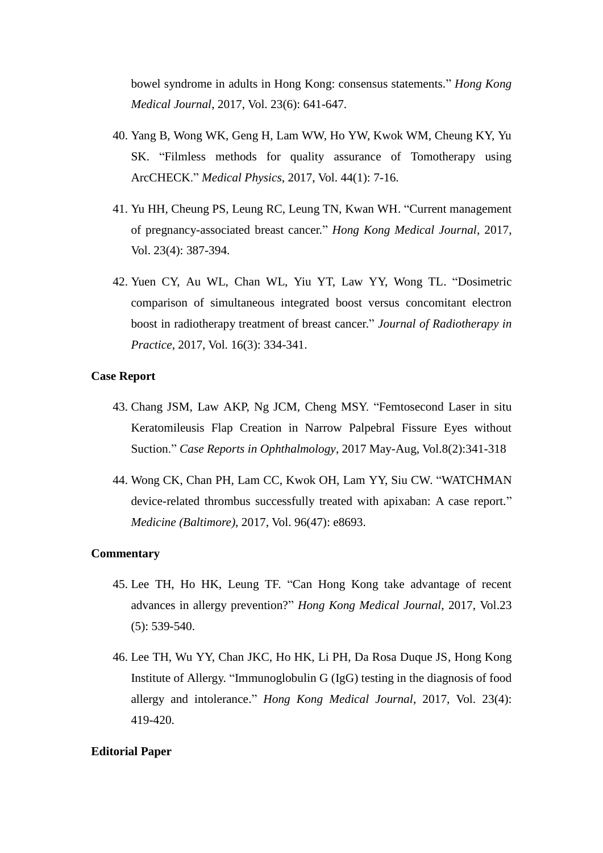bowel syndrome in adults in Hong Kong: consensus statements." *Hong Kong Medical Journal*, 2017, Vol. 23(6): 641-647.

- 40. Yang B, Wong WK, Geng H, Lam WW, Ho YW, Kwok WM, Cheung KY, Yu SK. "Filmless methods for quality assurance of Tomotherapy using ArcCHECK." *Medical Physics*, 2017, Vol. 44(1): 7-16.
- 41. Yu HH, Cheung PS, Leung RC, Leung TN, Kwan WH. "Current management of pregnancy-associated breast cancer." *Hong Kong Medical Journal*, 2017, Vol. 23(4): 387-394.
- 42. Yuen CY, Au WL, Chan WL, Yiu YT, Law YY, Wong TL. "Dosimetric comparison of simultaneous integrated boost versus concomitant electron boost in radiotherapy treatment of breast cancer." *Journal of Radiotherapy in Practice*, 2017, Vol. 16(3): 334-341.

### **Case Report**

- 43. Chang JSM, Law AKP, Ng JCM, Cheng MSY. "Femtosecond Laser in situ Keratomileusis Flap Creation in Narrow Palpebral Fissure Eyes without Suction." *Case Reports in Ophthalmology*, 2017 May-Aug, Vol.8(2):341-318
- 44. Wong CK, Chan PH, Lam CC, Kwok OH, Lam YY, Siu CW. "WATCHMAN device-related thrombus successfully treated with apixaban: A case report." *Medicine (Baltimore)*, 2017, Vol. 96(47): e8693.

#### **Commentary**

- 45. Lee TH, Ho HK, Leung TF. "Can Hong Kong take advantage of recent advances in allergy prevention?" *Hong Kong Medical Journal*, 2017, Vol.23 (5): 539-540.
- 46. Lee TH, Wu YY, Chan JKC, Ho HK, Li PH, Da Rosa Duque JS, Hong Kong Institute of Allergy. "Immunoglobulin G (IgG) testing in the diagnosis of food allergy and intolerance." *Hong Kong Medical Journal*, 2017, Vol. 23(4): 419-420.

#### **Editorial Paper**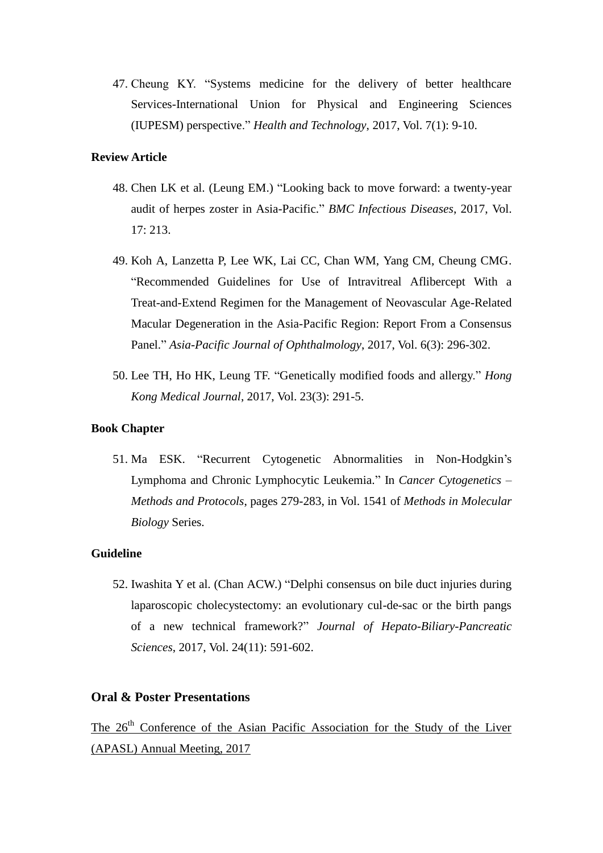47. Cheung KY. "Systems medicine for the delivery of better healthcare Services-International Union for Physical and Engineering Sciences (IUPESM) perspective." *Health and Technology*, 2017, Vol. 7(1): 9-10.

## **Review Article**

- 48. Chen LK et al. (Leung EM.) "Looking back to move forward: a twenty-year audit of herpes zoster in Asia-Pacific." *BMC Infectious Diseases*, 2017, Vol. 17: 213.
- 49. Koh A, Lanzetta P, Lee WK, Lai CC, Chan WM, Yang CM, Cheung CMG. "Recommended Guidelines for Use of Intravitreal Aflibercept With a Treat-and-Extend Regimen for the Management of Neovascular Age-Related Macular Degeneration in the Asia-Pacific Region: Report From a Consensus Panel." *Asia-Pacific Journal of Ophthalmology*, 2017, Vol. 6(3): 296-302.
- 50. Lee TH, Ho HK, Leung TF. "Genetically modified foods and allergy." *Hong Kong Medical Journal*, 2017, Vol. 23(3): 291-5.

### **Book Chapter**

51. Ma ESK. "Recurrent Cytogenetic Abnormalities in Non-Hodgkin's Lymphoma and Chronic Lymphocytic Leukemia." In *Cancer Cytogenetics – Methods and Protocols*, pages 279-283, in Vol. 1541 of *Methods in Molecular Biology* Series.

### **Guideline**

52. Iwashita Y et al. (Chan ACW.) "Delphi consensus on bile duct injuries during laparoscopic cholecystectomy: an evolutionary cul-de-sac or the birth pangs of a new technical framework?" *Journal of Hepato-Biliary-Pancreatic Sciences*, 2017, Vol. 24(11): 591-602.

# **Oral & Poster Presentations**

The 26<sup>th</sup> Conference of the Asian Pacific Association for the Study of the Liver (APASL) Annual Meeting, 2017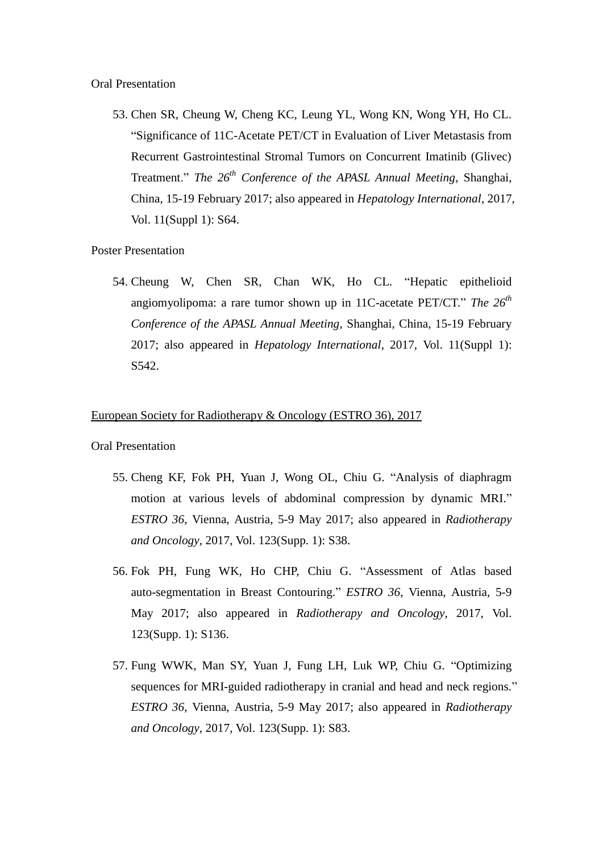### Oral Presentation

53. Chen SR, Cheung W, Cheng KC, Leung YL, Wong KN, Wong YH, Ho CL. "Significance of 11C-Acetate PET/CT in Evaluation of Liver Metastasis from Recurrent Gastrointestinal Stromal Tumors on Concurrent Imatinib (Glivec) Treatment." *The 26th Conference of the APASL Annual Meeting*, Shanghai, China, 15-19 February 2017; also appeared in *Hepatology International*, 2017, Vol. 11(Suppl 1): S64.

### Poster Presentation

54. Cheung W, Chen SR, Chan WK, Ho CL. "Hepatic epithelioid angiomyolipoma: a rare tumor shown up in 11C-acetate PET/CT." *The 26th Conference of the APASL Annual Meeting*, Shanghai, China, 15-19 February 2017; also appeared in *Hepatology International*, 2017, Vol. 11(Suppl 1): S542.

## European Society for Radiotherapy & Oncology (ESTRO 36), 2017

- 55. Cheng KF, Fok PH, Yuan J, Wong OL, Chiu G. "Analysis of diaphragm motion at various levels of abdominal compression by dynamic MRI." *ESTRO 36*, Vienna, Austria, 5-9 May 2017; also appeared in *Radiotherapy and Oncology*, 2017, Vol. 123(Supp. 1): S38.
- 56. Fok PH, Fung WK, Ho CHP, Chiu G. "Assessment of Atlas based auto-segmentation in Breast Contouring." *ESTRO 36*, Vienna, Austria, 5-9 May 2017; also appeared in *Radiotherapy and Oncology*, 2017, Vol. 123(Supp. 1): S136.
- 57. Fung WWK, Man SY, Yuan J, Fung LH, Luk WP, Chiu G. "Optimizing sequences for MRI-guided radiotherapy in cranial and head and neck regions." *ESTRO 36*, Vienna, Austria, 5-9 May 2017; also appeared in *Radiotherapy and Oncology*, 2017, Vol. 123(Supp. 1): S83.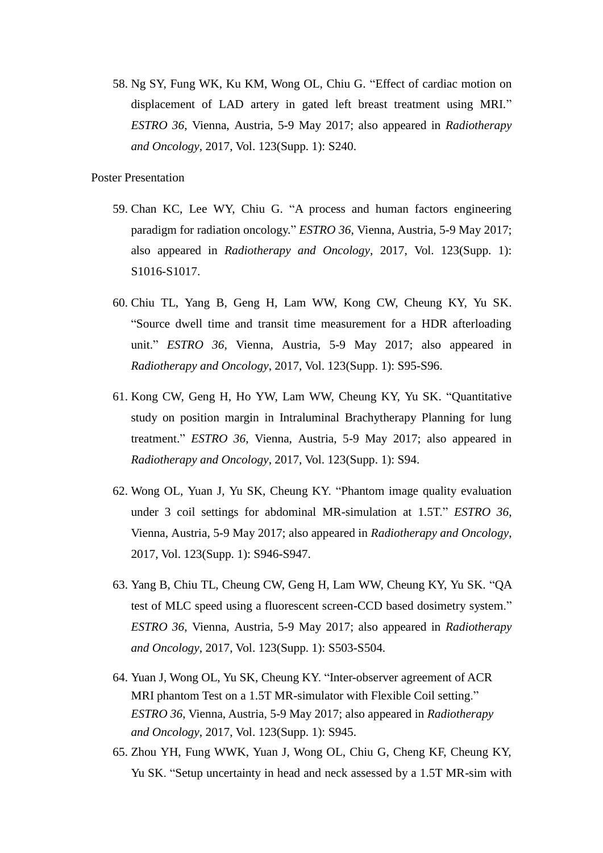58. Ng SY, Fung WK, Ku KM, Wong OL, Chiu G. "Effect of cardiac motion on displacement of LAD artery in gated left breast treatment using MRI." *ESTRO 36*, Vienna, Austria, 5-9 May 2017; also appeared in *Radiotherapy and Oncology*, 2017, Vol. 123(Supp. 1): S240.

Poster Presentation

- 59. Chan KC, Lee WY, Chiu G. "A process and human factors engineering paradigm for radiation oncology." *ESTRO 36*, Vienna, Austria, 5-9 May 2017; also appeared in *Radiotherapy and Oncology*, 2017, Vol. 123(Supp. 1): S1016-S1017.
- 60. Chiu TL, Yang B, Geng H, Lam WW, Kong CW, Cheung KY, Yu SK. "Source dwell time and transit time measurement for a HDR afterloading unit." *ESTRO 36*, Vienna, Austria, 5-9 May 2017; also appeared in *Radiotherapy and Oncology*, 2017, Vol. 123(Supp. 1): S95-S96.
- 61. Kong CW, Geng H, Ho YW, Lam WW, Cheung KY, Yu SK. "Quantitative study on position margin in Intraluminal Brachytherapy Planning for lung treatment." *ESTRO 36*, Vienna, Austria, 5-9 May 2017; also appeared in *Radiotherapy and Oncology*, 2017, Vol. 123(Supp. 1): S94.
- 62. Wong OL, Yuan J, Yu SK, Cheung KY. "Phantom image quality evaluation under 3 coil settings for abdominal MR-simulation at 1.5T." *ESTRO 36*, Vienna, Austria, 5-9 May 2017; also appeared in *Radiotherapy and Oncology*, 2017, Vol. 123(Supp. 1): S946-S947.
- 63. Yang B, Chiu TL, Cheung CW, Geng H, Lam WW, Cheung KY, Yu SK. "QA test of MLC speed using a fluorescent screen-CCD based dosimetry system." *ESTRO 36*, Vienna, Austria, 5-9 May 2017; also appeared in *Radiotherapy and Oncology*, 2017, Vol. 123(Supp. 1): S503-S504.
- 64. Yuan J, Wong OL, Yu SK, Cheung KY. "Inter-observer agreement of ACR MRI phantom Test on a 1.5T MR-simulator with Flexible Coil setting." *ESTRO 36*, Vienna, Austria, 5-9 May 2017; also appeared in *Radiotherapy and Oncology*, 2017, Vol. 123(Supp. 1): S945.
- 65. Zhou YH, Fung WWK, Yuan J, Wong OL, Chiu G, Cheng KF, Cheung KY, Yu SK. "Setup uncertainty in head and neck assessed by a 1.5T MR-sim with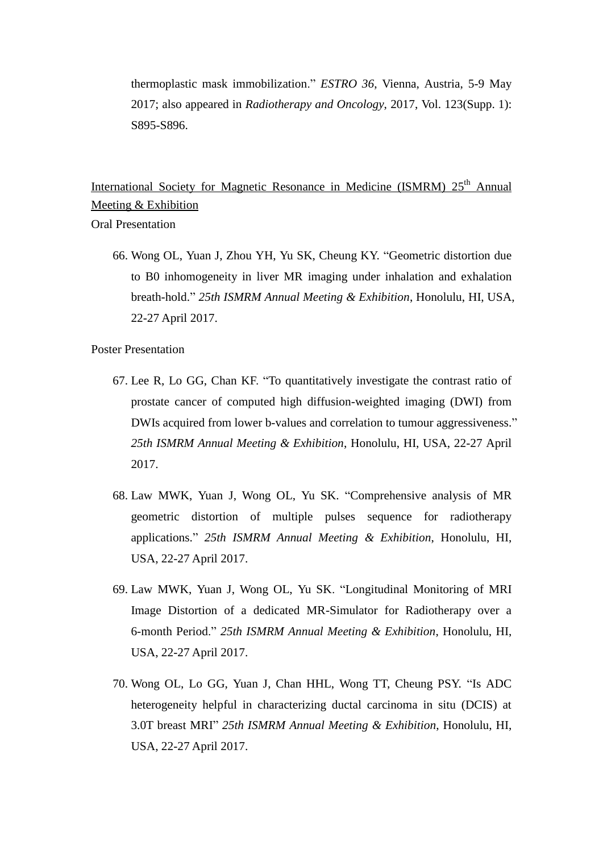thermoplastic mask immobilization." *ESTRO 36*, Vienna, Austria, 5-9 May 2017; also appeared in *Radiotherapy and Oncology*, 2017, Vol. 123(Supp. 1): S895-S896.

# International Society for Magnetic Resonance in Medicine (ISMRM) 25<sup>th</sup> Annual Meeting & Exhibition

Oral Presentation

66. Wong OL, Yuan J, Zhou YH, Yu SK, Cheung KY. "Geometric distortion due to B0 inhomogeneity in liver MR imaging under inhalation and exhalation breath-hold." *25th ISMRM Annual Meeting & Exhibition*, Honolulu, HI, USA, 22-27 April 2017.

Poster Presentation

- 67. Lee R, Lo GG, Chan KF. "To quantitatively investigate the contrast ratio of prostate cancer of computed high diffusion-weighted imaging (DWI) from DWIs acquired from lower b-values and correlation to tumour aggressiveness." *25th ISMRM Annual Meeting & Exhibition*, Honolulu, HI, USA, 22-27 April 2017.
- 68. Law MWK, Yuan J, Wong OL, Yu SK. "Comprehensive analysis of MR geometric distortion of multiple pulses sequence for radiotherapy applications." *25th ISMRM Annual Meeting & Exhibition*, Honolulu, HI, USA, 22-27 April 2017.
- 69. Law MWK, Yuan J, Wong OL, Yu SK. "Longitudinal Monitoring of MRI Image Distortion of a dedicated MR-Simulator for Radiotherapy over a 6-month Period." *25th ISMRM Annual Meeting & Exhibition*, Honolulu, HI, USA, 22-27 April 2017.
- 70. Wong OL, Lo GG, Yuan J, Chan HHL, Wong TT, Cheung PSY. "Is ADC heterogeneity helpful in characterizing ductal carcinoma in situ (DCIS) at 3.0T breast MRI" *25th ISMRM Annual Meeting & Exhibition*, Honolulu, HI, USA, 22-27 April 2017.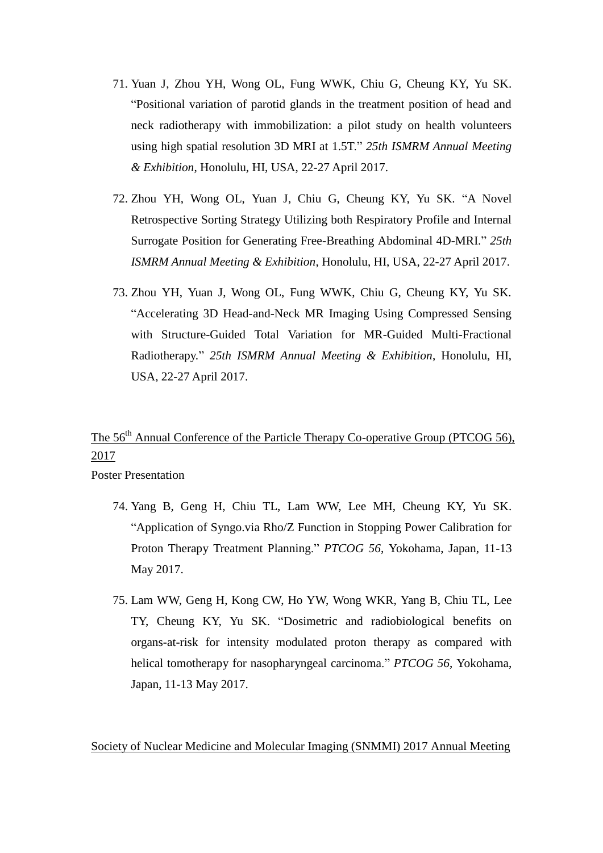- 71. Yuan J, Zhou YH, Wong OL, Fung WWK, Chiu G, Cheung KY, Yu SK. "Positional variation of parotid glands in the treatment position of head and neck radiotherapy with immobilization: a pilot study on health volunteers using high spatial resolution 3D MRI at 1.5T." *25th ISMRM Annual Meeting & Exhibition*, Honolulu, HI, USA, 22-27 April 2017.
- 72. Zhou YH, Wong OL, Yuan J, Chiu G, Cheung KY, Yu SK. "A Novel Retrospective Sorting Strategy Utilizing both Respiratory Profile and Internal Surrogate Position for Generating Free-Breathing Abdominal 4D-MRI." *25th ISMRM Annual Meeting & Exhibition*, Honolulu, HI, USA, 22-27 April 2017.
- 73. Zhou YH, Yuan J, Wong OL, Fung WWK, Chiu G, Cheung KY, Yu SK. "Accelerating 3D Head-and-Neck MR Imaging Using Compressed Sensing with Structure-Guided Total Variation for MR-Guided Multi-Fractional Radiotherapy." *25th ISMRM Annual Meeting & Exhibition*, Honolulu, HI, USA, 22-27 April 2017.

# The 56<sup>th</sup> Annual Conference of the Particle Therapy Co-operative Group (PTCOG 56), 2017

Poster Presentation

- 74. Yang B, Geng H, Chiu TL, Lam WW, Lee MH, Cheung KY, Yu SK. "Application of Syngo.via Rho/Z Function in Stopping Power Calibration for Proton Therapy Treatment Planning." *PTCOG 56*, Yokohama, Japan, 11-13 May 2017.
- 75. Lam WW, Geng H, Kong CW, Ho YW, Wong WKR, Yang B, Chiu TL, Lee TY, Cheung KY, Yu SK. "Dosimetric and radiobiological benefits on organs-at-risk for intensity modulated proton therapy as compared with helical tomotherapy for nasopharyngeal carcinoma." *PTCOG 56*, Yokohama, Japan, 11-13 May 2017.

Society of Nuclear Medicine and Molecular Imaging (SNMMI) 2017 Annual Meeting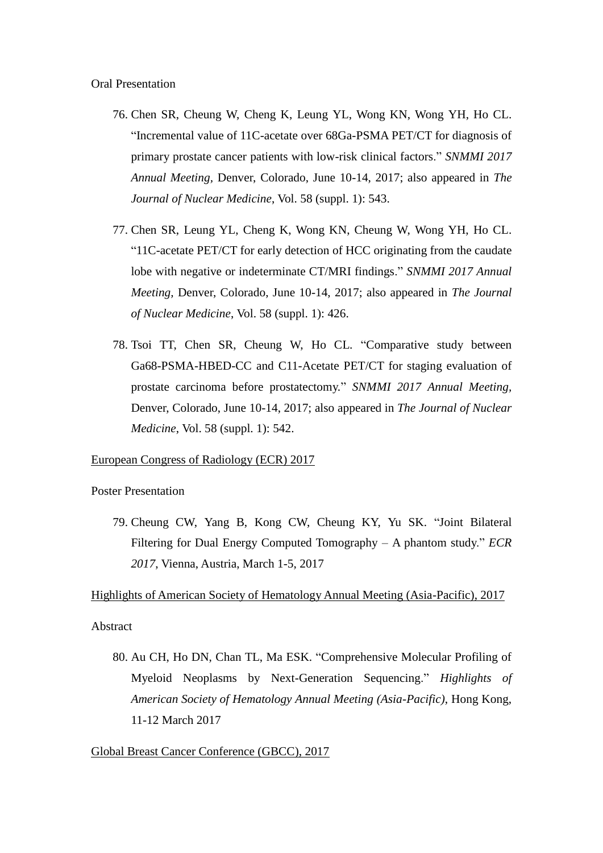- 76. Chen SR, Cheung W, Cheng K, Leung YL, Wong KN, Wong YH, Ho CL. "Incremental value of 11C-acetate over 68Ga-PSMA PET/CT for diagnosis of primary prostate cancer patients with low-risk clinical factors." *SNMMI 2017 Annual Meeting,* Denver, Colorado, June 10-14, 2017; also appeared in *The Journal of Nuclear Medicine*, Vol. 58 (suppl. 1): 543.
- 77. Chen SR, Leung YL, Cheng K, Wong KN, Cheung W, Wong YH, Ho CL. "11C-acetate PET/CT for early detection of HCC originating from the caudate lobe with negative or indeterminate CT/MRI findings." *SNMMI 2017 Annual Meeting,* Denver, Colorado, June 10-14, 2017; also appeared in *The Journal of Nuclear Medicine*, Vol. 58 (suppl. 1): 426.
- 78. Tsoi TT, Chen SR, Cheung W, Ho CL. "Comparative study between Ga68-PSMA-HBED-CC and C11-Acetate PET/CT for staging evaluation of prostate carcinoma before prostatectomy." *SNMMI 2017 Annual Meeting,*  Denver, Colorado, June 10-14, 2017; also appeared in *The Journal of Nuclear Medicine*, Vol. 58 (suppl. 1): 542.

# European Congress of Radiology (ECR) 2017

Poster Presentation

79. Cheung CW, Yang B, Kong CW, Cheung KY, Yu SK. "Joint Bilateral Filtering for Dual Energy Computed Tomography – A phantom study." *ECR 2017*, Vienna, Austria, March 1-5, 2017

# Highlights of American Society of Hematology Annual Meeting (Asia-Pacific), 2017

# Abstract

80. Au CH, Ho DN, Chan TL, Ma ESK. "Comprehensive Molecular Profiling of Myeloid Neoplasms by Next-Generation Sequencing." *Highlights of American Society of Hematology Annual Meeting (Asia-Pacific)*, Hong Kong, 11-12 March 2017

### Global Breast Cancer Conference (GBCC), 2017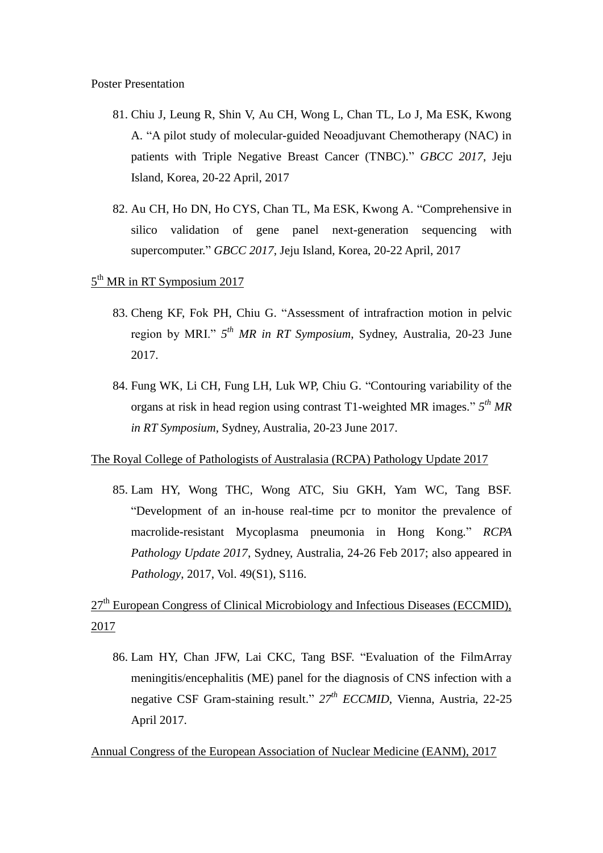- 81. Chiu J, Leung R, Shin V, Au CH, Wong L, Chan TL, Lo J, Ma ESK, Kwong A. "A pilot study of molecular-guided Neoadjuvant Chemotherapy (NAC) in patients with Triple Negative Breast Cancer (TNBC)." *GBCC 2017*, Jeju Island, Korea, 20-22 April, 2017
- 82. Au CH, Ho DN, Ho CYS, Chan TL, Ma ESK, Kwong A. "Comprehensive in silico validation of gene panel next-generation sequencing with supercomputer." *GBCC 2017*, Jeju Island, Korea, 20-22 April, 2017

 $5<sup>th</sup> MR$  in RT Symposium 2017

- 83. Cheng KF, Fok PH, Chiu G. "Assessment of intrafraction motion in pelvic region by MRI." *5 th MR in RT Symposium*, Sydney, Australia, 20-23 June 2017.
- 84. Fung WK, Li CH, Fung LH, Luk WP, Chiu G. "Contouring variability of the organs at risk in head region using contrast T1-weighted MR images." *5 th MR in RT Symposium*, Sydney, Australia, 20-23 June 2017.

The Royal College of Pathologists of Australasia (RCPA) Pathology Update 2017

85. Lam HY, Wong THC, Wong ATC, Siu GKH, Yam WC, Tang BSF. "Development of an in-house real-time pcr to monitor the prevalence of macrolide-resistant Mycoplasma pneumonia in Hong Kong." *RCPA Pathology Update 2017*, Sydney, Australia, 24-26 Feb 2017; also appeared in *Pathology*, 2017, Vol. 49(S1), S116.

 $27<sup>th</sup>$  European Congress of Clinical Microbiology and Infectious Diseases (ECCMID), 2017

86. Lam HY, Chan JFW, Lai CKC, Tang BSF. "Evaluation of the FilmArray meningitis/encephalitis (ME) panel for the diagnosis of CNS infection with a negative CSF Gram-staining result." *27th ECCMID*, Vienna, Austria, 22-25 April 2017.

Annual Congress of the European Association of Nuclear Medicine (EANM), 2017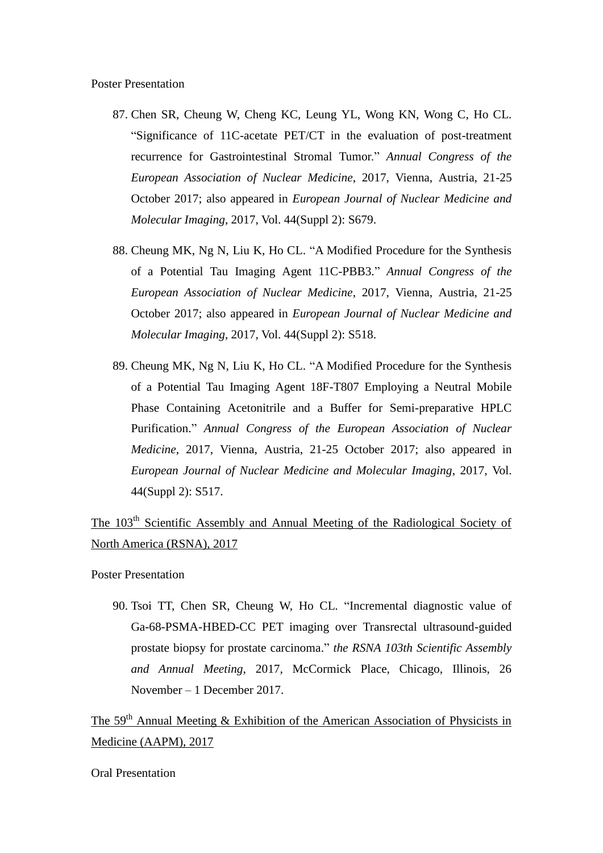- 87. Chen SR, Cheung W, Cheng KC, Leung YL, Wong KN, Wong C, Ho CL. "Significance of 11C-acetate PET/CT in the evaluation of post-treatment recurrence for Gastrointestinal Stromal Tumor." *Annual Congress of the European Association of Nuclear Medicine*, 2017, Vienna, Austria, 21-25 October 2017; also appeared in *European Journal of Nuclear Medicine and Molecular Imaging*, 2017, Vol. 44(Suppl 2): S679.
- 88. Cheung MK, Ng N, Liu K, Ho CL. "A Modified Procedure for the Synthesis of a Potential Tau Imaging Agent 11C-PBB3." *Annual Congress of the European Association of Nuclear Medicine*, 2017, Vienna, Austria, 21-25 October 2017; also appeared in *European Journal of Nuclear Medicine and Molecular Imaging*, 2017, Vol. 44(Suppl 2): S518.
- 89. Cheung MK, Ng N, Liu K, Ho CL. "A Modified Procedure for the Synthesis of a Potential Tau Imaging Agent 18F-T807 Employing a Neutral Mobile Phase Containing Acetonitrile and a Buffer for Semi-preparative HPLC Purification." *Annual Congress of the European Association of Nuclear Medicine*, 2017, Vienna, Austria, 21-25 October 2017; also appeared in *European Journal of Nuclear Medicine and Molecular Imaging*, 2017, Vol. 44(Suppl 2): S517.

# The 103<sup>th</sup> Scientific Assembly and Annual Meeting of the Radiological Society of North America (RSNA), 2017

Poster Presentation

90. Tsoi TT, Chen SR, Cheung W, Ho CL. "Incremental diagnostic value of Ga-68-PSMA-HBED-CC PET imaging over Transrectal ultrasound-guided prostate biopsy for prostate carcinoma." *the RSNA 103th Scientific Assembly and Annual Meeting*, 2017, McCormick Place, Chicago, Illinois, 26 November – 1 December 2017.

The  $59<sup>th</sup>$  Annual Meeting & Exhibition of the American Association of Physicists in Medicine (AAPM), 2017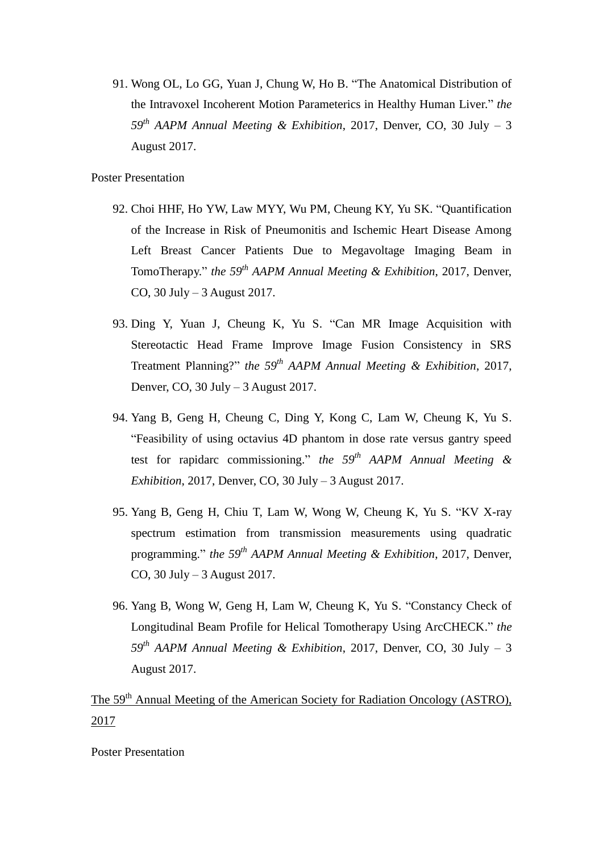91. Wong OL, Lo GG, Yuan J, Chung W, Ho B. "The Anatomical Distribution of the Intravoxel Incoherent Motion Parameterics in Healthy Human Liver." *the 59th AAPM Annual Meeting & Exhibition*, 2017, Denver, CO, 30 July – 3 August 2017.

Poster Presentation

- 92. Choi HHF, Ho YW, Law MYY, Wu PM, Cheung KY, Yu SK. "Quantification of the Increase in Risk of Pneumonitis and Ischemic Heart Disease Among Left Breast Cancer Patients Due to Megavoltage Imaging Beam in TomoTherapy." *the 59th AAPM Annual Meeting & Exhibition*, 2017, Denver, CO, 30 July – 3 August 2017.
- 93. Ding Y, Yuan J, Cheung K, Yu S. "Can MR Image Acquisition with Stereotactic Head Frame Improve Image Fusion Consistency in SRS Treatment Planning?" *the 59th AAPM Annual Meeting & Exhibition*, 2017, Denver, CO, 30 July – 3 August 2017.
- 94. Yang B, Geng H, Cheung C, Ding Y, Kong C, Lam W, Cheung K, Yu S. "Feasibility of using octavius 4D phantom in dose rate versus gantry speed test for rapidarc commissioning." *the 59th AAPM Annual Meeting & Exhibition*, 2017, Denver, CO, 30 July – 3 August 2017.
- 95. Yang B, Geng H, Chiu T, Lam W, Wong W, Cheung K, Yu S. "KV X-ray spectrum estimation from transmission measurements using quadratic programming." *the 59th AAPM Annual Meeting & Exhibition*, 2017, Denver, CO, 30 July – 3 August 2017.
- 96. Yang B, Wong W, Geng H, Lam W, Cheung K, Yu S. "Constancy Check of Longitudinal Beam Profile for Helical Tomotherapy Using ArcCHECK." *the 59th AAPM Annual Meeting & Exhibition*, 2017, Denver, CO, 30 July – 3 August 2017.

The 59<sup>th</sup> Annual Meeting of the American Society for Radiation Oncology (ASTRO), 2017

Poster Presentation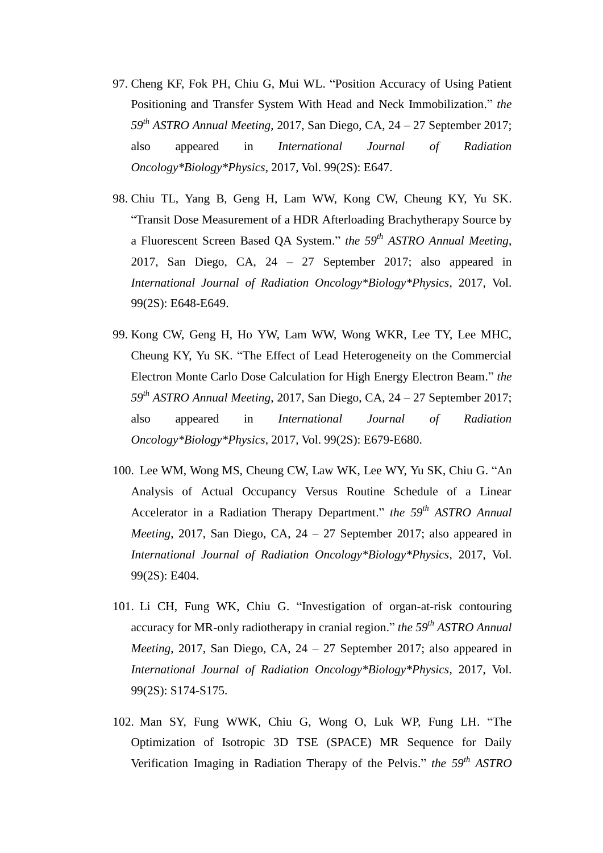- 97. Cheng KF, Fok PH, Chiu G, Mui WL. "Position Accuracy of Using Patient Positioning and Transfer System With Head and Neck Immobilization." *the 59th ASTRO Annual Meeting*, 2017, San Diego, CA, 24 – 27 September 2017; also appeared in *International Journal of Radiation Oncology\*Biology\*Physics*, 2017, Vol. 99(2S): E647.
- 98. Chiu TL, Yang B, Geng H, Lam WW, Kong CW, Cheung KY, Yu SK. "Transit Dose Measurement of a HDR Afterloading Brachytherapy Source by a Fluorescent Screen Based QA System." *the 59th ASTRO Annual Meeting*, 2017, San Diego, CA, 24 – 27 September 2017; also appeared in *International Journal of Radiation Oncology\*Biology\*Physics*, 2017, Vol. 99(2S): E648-E649.
- 99. Kong CW, Geng H, Ho YW, Lam WW, Wong WKR, Lee TY, Lee MHC, Cheung KY, Yu SK. "The Effect of Lead Heterogeneity on the Commercial Electron Monte Carlo Dose Calculation for High Energy Electron Beam." *the 59th ASTRO Annual Meeting*, 2017, San Diego, CA, 24 – 27 September 2017; also appeared in *International Journal of Radiation Oncology\*Biology\*Physics*, 2017, Vol. 99(2S): E679-E680.
- 100. Lee WM, Wong MS, Cheung CW, Law WK, Lee WY, Yu SK, Chiu G. "An Analysis of Actual Occupancy Versus Routine Schedule of a Linear Accelerator in a Radiation Therapy Department." *the 59th ASTRO Annual Meeting*, 2017, San Diego, CA, 24 – 27 September 2017; also appeared in *International Journal of Radiation Oncology\*Biology\*Physics*, 2017, Vol. 99(2S): E404.
- 101. Li CH, Fung WK, Chiu G. "Investigation of organ-at-risk contouring accuracy for MR-only radiotherapy in cranial region." *the 59th ASTRO Annual Meeting*, 2017, San Diego, CA, 24 – 27 September 2017; also appeared in *International Journal of Radiation Oncology\*Biology\*Physics*, 2017, Vol. 99(2S): S174-S175.
- 102. Man SY, Fung WWK, Chiu G, Wong O, Luk WP, Fung LH. "The Optimization of Isotropic 3D TSE (SPACE) MR Sequence for Daily Verification Imaging in Radiation Therapy of the Pelvis." *the 59th ASTRO*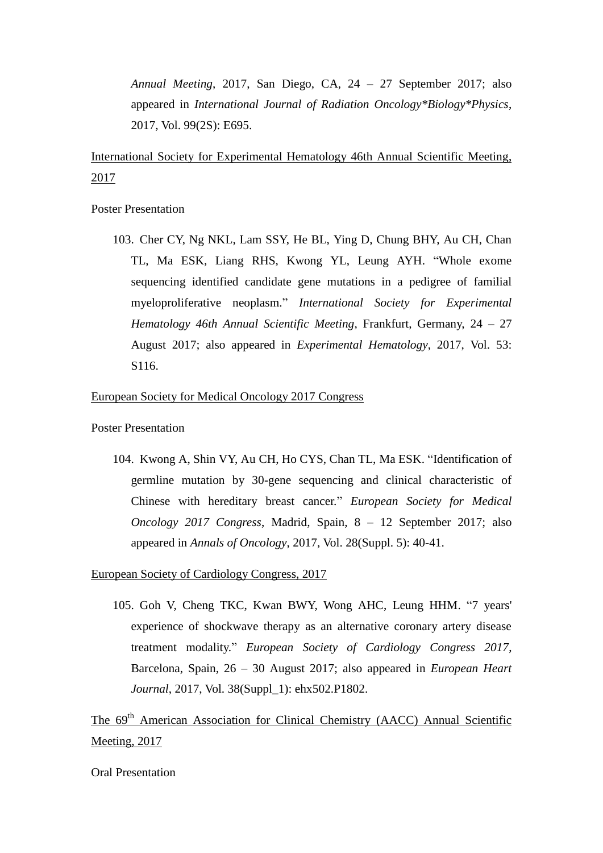*Annual Meeting*, 2017, San Diego, CA, 24 – 27 September 2017; also appeared in *International Journal of Radiation Oncology\*Biology\*Physics*, 2017, Vol. 99(2S): E695.

International Society for Experimental Hematology 46th Annual Scientific Meeting, 2017

Poster Presentation

103. Cher CY, Ng NKL, Lam SSY, He BL, Ying D, Chung BHY, Au CH, Chan TL, Ma ESK, Liang RHS, Kwong YL, Leung AYH. "Whole exome sequencing identified candidate gene mutations in a pedigree of familial myeloproliferative neoplasm." *International Society for Experimental Hematology 46th Annual Scientific Meeting*, Frankfurt, Germany, 24 – 27 August 2017; also appeared in *Experimental Hematology*, 2017, Vol. 53: S116.

European Society for Medical Oncology 2017 Congress

Poster Presentation

104. Kwong A, Shin VY, Au CH, Ho CYS, Chan TL, Ma ESK. "Identification of germline mutation by 30-gene sequencing and clinical characteristic of Chinese with hereditary breast cancer." *European Society for Medical Oncology 2017 Congress*, Madrid, Spain, 8 – 12 September 2017; also appeared in *Annals of Oncology*, 2017, Vol. 28(Suppl. 5): 40-41.

### European Society of Cardiology Congress, 2017

105. Goh V, Cheng TKC, Kwan BWY, Wong AHC, Leung HHM. "7 years' experience of shockwave therapy as an alternative coronary artery disease treatment modality." *European Society of Cardiology Congress 2017*, Barcelona, Spain, 26 – 30 August 2017; also appeared in *European Heart Journal*, 2017, Vol. 38(Suppl\_1): ehx502.P1802.

The 69<sup>th</sup> American Association for Clinical Chemistry (AACC) Annual Scientific Meeting, 2017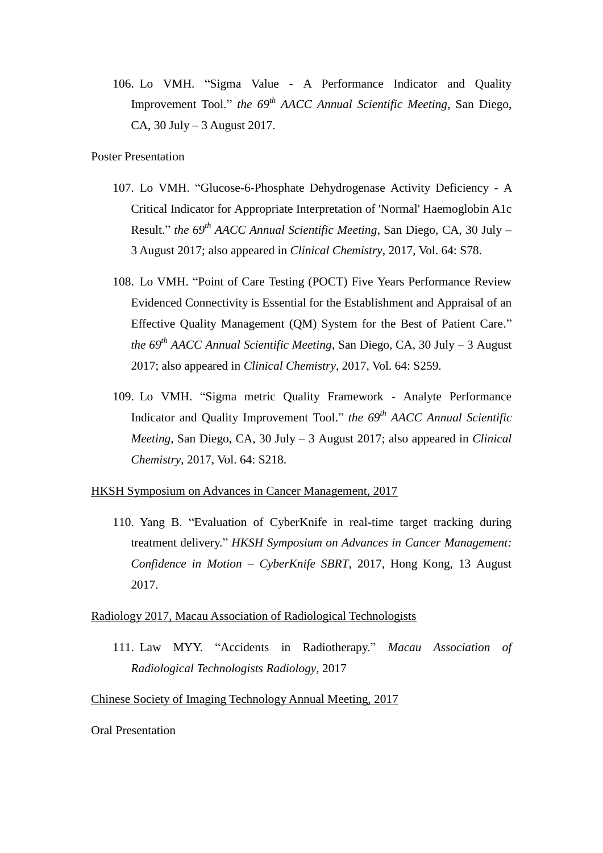106. Lo VMH. "Sigma Value - A Performance Indicator and Quality Improvement Tool." *the 69th AACC Annual Scientific Meeting*, San Diego, CA, 30 July – 3 August 2017.

Poster Presentation

- 107. Lo VMH. "Glucose-6-Phosphate Dehydrogenase Activity Deficiency A Critical Indicator for Appropriate Interpretation of 'Normal' Haemoglobin A1c Result." *the 69th AACC Annual Scientific Meeting*, San Diego, CA, 30 July – 3 August 2017; also appeared in *Clinical Chemistry*, 2017, Vol. 64: S78.
- 108. Lo VMH. "Point of Care Testing (POCT) Five Years Performance Review Evidenced Connectivity is Essential for the Establishment and Appraisal of an Effective Quality Management (QM) System for the Best of Patient Care." *the 69th AACC Annual Scientific Meeting*, San Diego, CA, 30 July – 3 August 2017; also appeared in *Clinical Chemistry*, 2017, Vol. 64: S259.
- 109. Lo VMH. "Sigma metric Quality Framework Analyte Performance Indicator and Quality Improvement Tool." *the 69th AACC Annual Scientific Meeting*, San Diego, CA, 30 July – 3 August 2017; also appeared in *Clinical Chemistry*, 2017, Vol. 64: S218.

### HKSH Symposium on Advances in Cancer Management, 2017

110. Yang B. "Evaluation of CyberKnife in real-time target tracking during treatment delivery." *HKSH Symposium on Advances in Cancer Management: Confidence in Motion – CyberKnife SBRT*, 2017, Hong Kong, 13 August 2017.

### Radiology 2017, Macau Association of Radiological Technologists

111. Law MYY. "Accidents in Radiotherapy." *Macau Association of Radiological Technologists Radiology*, 2017

Chinese Society of Imaging Technology Annual Meeting, 2017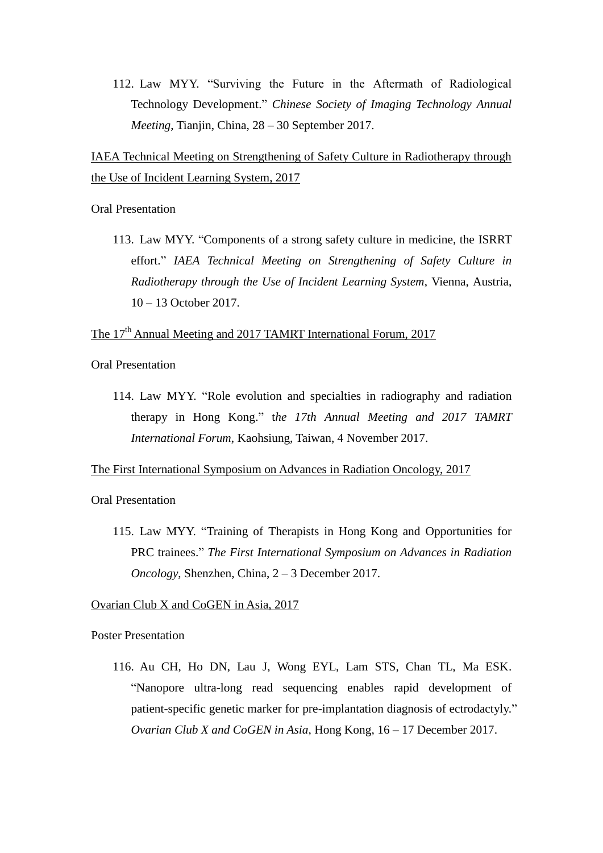112. Law MYY. "Surviving the Future in the Aftermath of Radiological Technology Development." *Chinese Society of Imaging Technology Annual Meeting*, Tianjin, China, 28 – 30 September 2017.

IAEA Technical Meeting on Strengthening of Safety Culture in Radiotherapy through the Use of Incident Learning System, 2017

Oral Presentation

113. Law MYY. "Components of a strong safety culture in medicine, the ISRRT effort." *IAEA Technical Meeting on Strengthening of Safety Culture in Radiotherapy through the Use of Incident Learning System*, Vienna, Austria, 10 – 13 October 2017.

The  $17<sup>th</sup>$  Annual Meeting and 2017 TAMRT International Forum, 2017

Oral Presentation

114. Law MYY. "Role evolution and specialties in radiography and radiation therapy in Hong Kong." t*he 17th Annual Meeting and 2017 TAMRT International Forum*, Kaohsiung, Taiwan, 4 November 2017.

The First International Symposium on Advances in Radiation Oncology, 2017

Oral Presentation

115. Law MYY. "Training of Therapists in Hong Kong and Opportunities for PRC trainees." *The First International Symposium on Advances in Radiation Oncology*, Shenzhen, China, 2 – 3 December 2017.

### Ovarian Club X and CoGEN in Asia, 2017

Poster Presentation

116. Au CH, Ho DN, Lau J, Wong EYL, Lam STS, Chan TL, Ma ESK. "Nanopore ultra-long read sequencing enables rapid development of patient-specific genetic marker for pre-implantation diagnosis of ectrodactyly." *Ovarian Club X and CoGEN in Asia*, Hong Kong, 16 – 17 December 2017.